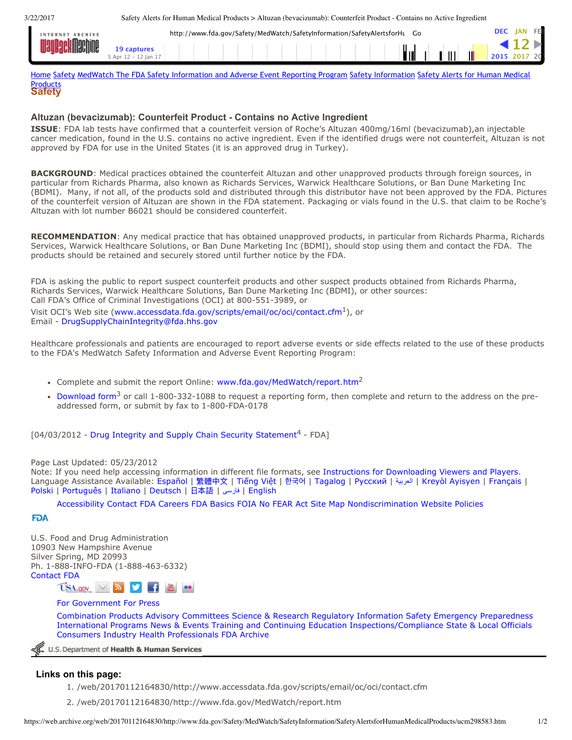3/22/2017 Safety Alerts for Human Medical Products > Altuzan (bevacizumab): Counterfeit Product - Contains no Active Ingredient

| INTERNET ARCHIVE<br><b>M</b> nohino<br><b>IIIaciline</b> | http://www.fda.gov/Safety/MedWatch/SafetyInformation/SafetyAlertsforHL<br>Go |  |  |  |  |  |  |  |  |  |  |  |  | <b>JAN</b> |  |             |     |  |  |
|----------------------------------------------------------|------------------------------------------------------------------------------|--|--|--|--|--|--|--|--|--|--|--|--|------------|--|-------------|-----|--|--|
|                                                          |                                                                              |  |  |  |  |  |  |  |  |  |  |  |  |            |  |             |     |  |  |
|                                                          | i Apr 12 – 12 Jan 17                                                         |  |  |  |  |  |  |  |  |  |  |  |  | Ïц         |  | $\parallel$ | III |  |  |

**Safety** Products [Home](https://web.archive.org/web/20170112164830/http://www.fda.gov/default.htm) [Safety](https://web.archive.org/web/20170112164830/http://www.fda.gov/Safety/default.htm) MedWatch The FDA Safety [Information](https://web.archive.org/web/20170112164830/http://www.fda.gov/Safety/MedWatch/default.htm) and Adverse Event Reporting Program Safety [Informatio](https://web.archive.org/web/20170112164830/http://www.fda.gov/Safety/MedWatch/SafetyInformation/default.htm)[n](https://web.archive.org/web/20170112164830/http://www.fda.gov/Safety/MedWatch/SafetyInformation/SafetyAlertsforHumanMedicalProducts/default.htm) Safety Alerts for Human Medical

## **Altuzan (bevacizumab): Counterfeit Product Contains no Active Ingredient**

**ISSUE**: FDA lab tests have confirmed that a counterfeit version of Roche's Altuzan 400mg/16ml (bevacizumab),an injectable cancer medication, found in the U.S. contains no active ingredient. Even if the identified drugs were not counterfeit, Altuzan is not approved by FDA for use in the United States (it is an approved drug in Turkey).

**BACKGROUND**: Medical practices obtained the counterfeit Altuzan and other unapproved products through foreign sources, in particular from Richards Pharma, also known as Richards Services, Warwick Healthcare Solutions, or Ban Dune Marketing Inc (BDMI). Many, if not all, of the products sold and distributed through this distributor have not been approved by the FDA. Pictures of the counterfeit version of Altuzan are shown in the FDA statement. Packaging or vials found in the U.S. that claim to be Roche's Altuzan with lot number B6021 should be considered counterfeit.

**RECOMMENDATION**: Any medical practice that has obtained unapproved products, in particular from Richards Pharma, Richards Services, Warwick Healthcare Solutions, or Ban Dune Marketing Inc (BDMI), should stop using them and contact the FDA. The products should be retained and securely stored until further notice by the FDA.

FDA is asking the public to report suspect counterfeit products and other suspect products obtained from Richards Pharma, Richards Services, Warwick Healthcare Solutions, Ban Dune Marketing Inc (BDMI), or other sources: Call FDA's Office of Criminal Investigations (OCI) at 800-551-3989, or Visit OCI's Web site ([www.accessdata.fda.gov/scripts/email/oc/oci/contact.cfm](https://web.archive.org/web/20170112164830/http://www.accessdata.fda.gov/scripts/email/oc/oci/contact.cfm)<sup>1</sup>), or Email - [DrugSupplyChainIntegrity@fda.hhs.gov](mailto:DrugSupplyChainIntegrity@fda.hhs.gov)

Healthcare professionals and patients are encouraged to report adverse events or side effects related to the use of these products to the FDA's MedWatch Safety Information and Adverse Event Reporting Program:

- Complete and submit the report Online: [www.fda.gov/MedWatch/report.htm](https://web.archive.org/web/20170112164830/http://www.fda.gov/MedWatch/report.htm)<sup>2</sup>
- [Download](https://web.archive.org/web/20170112164830/http://www.fda.gov/Safety/MedWatch/HowToReport/DownloadForms/default.htm) form<sup>3</sup> or call 1-800-332-1088 to request a reporting form, then complete and return to the address on the preaddressed form, or submit by fax to 1-800-FDA-0178

 $[04/03/2012$  - Drug Integrity and Supply Chain Security [Statement](https://web.archive.org/web/20170112164830/http://www.fda.gov/Drugs/DrugSafety/DrugIntegrityandSupplyChainSecurity/ucm298047.htm)<sup>4</sup> - FDA]

## Page Last Updated: 05/23/2012

Note: If you need help accessing information in different file formats, see Instructions for [Downloading](https://web.archive.org/web/20170112164830/http://www.fda.gov/AboutFDA/AboutThisWebsite/WebsitePolicies/ViewingFiles/default.htm) Viewers and Players. Language Assistance Available: [Español](https://web.archive.org/web/20170112164830/http://www.fda.gov/AboutFDA/AboutThisWebsite/ucm523741.htm#spanish) | [繁體中文](https://web.archive.org/web/20170112164830/http://www.fda.gov/AboutFDA/AboutThisWebsite/ucm523741.htm#chinese) | [Tiếng](https://web.archive.org/web/20170112164830/http://www.fda.gov/AboutFDA/AboutThisWebsite/ucm523741.htm#vietnamese) Việt | [한국어](https://web.archive.org/web/20170112164830/http://www.fda.gov/AboutFDA/AboutThisWebsite/ucm523741.htm#korean) | [Tagalog](https://web.archive.org/web/20170112164830/http://www.fda.gov/AboutFDA/AboutThisWebsite/ucm523741.htm#tagalog) | [Русский](https://web.archive.org/web/20170112164830/http://www.fda.gov/AboutFDA/AboutThisWebsite/ucm523741.htm#russian) | [العربية](https://web.archive.org/web/20170112164830/http://www.fda.gov/AboutFDA/AboutThisWebsite/ucm523741.htm#arabic) | Kreyòl [Ayisyen](https://web.archive.org/web/20170112164830/http://www.fda.gov/AboutFDA/AboutThisWebsite/ucm523741.htm#creole) | [Français](https://web.archive.org/web/20170112164830/http://www.fda.gov/AboutFDA/AboutThisWebsite/ucm523741.htm#french) | [Polski](https://web.archive.org/web/20170112164830/http://www.fda.gov/AboutFDA/AboutThisWebsite/ucm523741.htm#polish) | [Português](https://web.archive.org/web/20170112164830/http://www.fda.gov/AboutFDA/AboutThisWebsite/ucm523741.htm#portuguese) | [Italiano](https://web.archive.org/web/20170112164830/http://www.fda.gov/AboutFDA/AboutThisWebsite/ucm523741.htm#italian) | [Deutsch](https://web.archive.org/web/20170112164830/http://www.fda.gov/AboutFDA/AboutThisWebsite/ucm523741.htm#german) | [日本語](https://web.archive.org/web/20170112164830/http://www.fda.gov/AboutFDA/AboutThisWebsite/ucm523741.htm#japanese) | [فارسی](https://web.archive.org/web/20170112164830/http://www.fda.gov/AboutFDA/AboutThisWebsite/ucm523741.htm#farsi) | [English](https://web.archive.org/web/20170112164830/http://www.fda.gov/AboutFDA/AboutThisWebsite/ucm523741.htm#english)

[Accessibility](https://web.archive.org/web/20170112164830/http://www.fda.gov/AboutFDA/AboutThisWebsite/Accessibility/default.htm) [Contact](https://web.archive.org/web/20170112164830/http://www.fda.gov/AboutFDA/ContactFDA/default.htm) FDA [Careers](https://web.archive.org/web/20170112164830/http://www.fda.gov/AboutFDA/WorkingatFDA/default.htm) [FDA Basics](https://web.archive.org/web/20170112164830/http://www.fda.gov/AboutFDA/Transparency/Basics/default.htm) [FOIA](https://web.archive.org/web/20170112164830/http://www.fda.gov/RegulatoryInformation/FOI/default.htm) No [FEAR](https://web.archive.org/web/20170112164830/http://www.fda.gov/AboutFDA/WorkingatFDA/NoFEARAct/default.htm) Act Site [Map](https://web.archive.org/web/20170112164830/http://www.fda.gov/SiteMap/default.htm) [Nondiscrimination](https://web.archive.org/web/20170112164830/http://www.fda.gov/AboutFDA/AboutThisWebsite/ucm523730.htm) [Website](https://web.archive.org/web/20170112164830/http://www.fda.gov/AboutFDA/AboutThisWebsite/WebsitePolicies/default.htm) Policies

## **FDA**

[U.S.](https://web.archive.org/web/20170112164830/http://www.fda.gov/) Food and Drug Administration 10903 New Hampshire Avenue Silver Spring, MD 20993 Ph. 1-888-INFO-FDA (1-888-463-6332) [Contact](https://web.archive.org/web/20170112164830/http://www.fda.gov/AboutFDA/ContactFDA/default.htm) FDA

 $USA.gov \times N$ 

For [Government](https://web.archive.org/web/20170112164830/http://www.fda.gov/ForFederalStateandLocalOfficials/default.htm) For [Press](https://web.archive.org/web/20170112164830/http://www.fda.gov/NewsEvents/default.htm)

[Combination](https://web.archive.org/web/20170112164830/http://www.fda.gov/CombinationProducts/default.htm) Products Advisory [Committees](https://web.archive.org/web/20170112164830/http://www.fda.gov/AdvisoryCommittees/default.htm) Science & [Research](https://web.archive.org/web/20170112164830/http://www.fda.gov/ScienceResearch/default.htm) Regulatory [Information](https://web.archive.org/web/20170112164830/http://www.fda.gov/RegulatoryInformation/default.htm) [Safety](https://web.archive.org/web/20170112164830/http://www.fda.gov/Safety/default.htm) Emergency [Preparedness](https://web.archive.org/web/20170112164830/http://www.fda.gov/EmergencyPreparedness/default.htm) [International](https://web.archive.org/web/20170112164830/http://www.fda.gov/InternationalPrograms/default.htm) Programs News & [Events](https://web.archive.org/web/20170112164830/http://www.fda.gov/NewsEvents/default.htm) Training and [Continuing](https://web.archive.org/web/20170112164830/http://www.fda.gov/Training/default.htm) Education [Inspections/Compliance](https://web.archive.org/web/20170112164830/http://www.fda.gov/ICECI/default.htm) State & Local [Officials](https://web.archive.org/web/20170112164830/http://www.fda.gov/ForFederalStateandLocalOfficials/default.htm) [Consumers](https://web.archive.org/web/20170112164830/http://www.fda.gov/ForConsumers/default.htm) [Industry](https://web.archive.org/web/20170112164830/http://www.fda.gov/ForIndustry/default.htm) Health [Professionals](https://web.archive.org/web/20170112164830/http://www.fda.gov/ForHealthProfessionals/default.htm) [FDA Archive](https://web.archive.org/web/20170112164830/http://www.fda.gov/AboutFDA/AboutThisWebsite/ucm450631.htm)

U.S. Department of Health & Human Services

## **Links on this page:**

- 1. /web/20170112164830/http://www.accessdata.fda.gov/scripts/email/oc/oci/contact.cfm
- 2. /web/20170112164830/http://www.fda.gov/MedWatch/report.htm